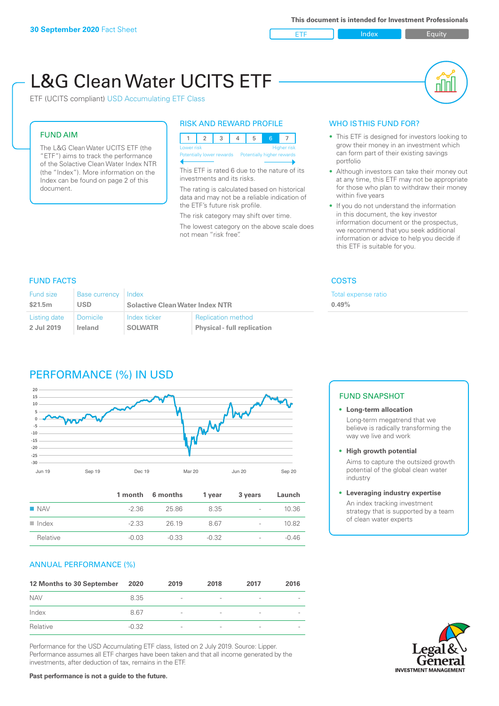

пIП

# L&G Clean Water UCITS ETF

ETF (UCITS compliant) USD Accumulating ETF Class

#### FUND AIM

The L&G Clean Water UCITS ETF (the "ETF") aims to track the performance of the Solactive Clean Water Index NTR (the "Index"). More information on the Index can be found on page 2 of this document.

#### RISK AND REWARD PROFILE



This ETF is rated 6 due to the nature of its investments and its risks.

The rating is calculated based on historical data and may not be a reliable indication of the ETF's future risk profile.

The risk category may shift over time. The lowest category on the above scale does not mean "risk free".

#### WHO IS THIS FUND FOR?

- This ETF is designed for investors looking to grow their money in an investment which can form part of their existing savings portfolio
- Although investors can take their money out at any time, this ETF may not be appropriate for those who plan to withdraw their money within five years
- If you do not understand the information in this document, the key investor information document or the prospectus, we recommend that you seek additional information or advice to help you decide if this ETF is suitable for you.

ense ratio

# FUND FACTS COSTS

| <b>Fund size</b> | <b>Base currency</b> | Index                                  |                                    | <b>Total exp</b> |
|------------------|----------------------|----------------------------------------|------------------------------------|------------------|
| \$21.5m          | <b>USD</b>           | <b>Solactive Clean Water Index NTR</b> |                                    | 0.49%            |
| Listing date     | <b>Domicile</b>      | Index ticker                           | <b>Replication method</b>          |                  |
| 2 Jul 2019       | Ireland              | <b>SOLWATR</b>                         | <b>Physical - full replication</b> |                  |

# PERFORMANCE (%) IN USD



|                      |         | 1 month 6 months | 1 year  | 3 years                  | Launch  |
|----------------------|---------|------------------|---------|--------------------------|---------|
| $\blacksquare$ NAV   | $-2.36$ | 25.86            | 8.35    | $\sim$                   | 10.36   |
| $\blacksquare$ Index | $-2.33$ | 26 19            | 8.67    | $\overline{\phantom{a}}$ | 10.82   |
| Relative             | $-0.03$ | $-0.33$          | $-0.32$ | $\overline{\phantom{a}}$ | $-0.46$ |

# ANNUAL PERFORMANCE (%)

| 12 Months to 30 September | 2020    | 2019                     | 2018                     | 2017                     | 2016                     |
|---------------------------|---------|--------------------------|--------------------------|--------------------------|--------------------------|
| <b>NAV</b>                | 8.35    | $\overline{\phantom{a}}$ | $\overline{\phantom{a}}$ | $\overline{\phantom{a}}$ | $\overline{\phantom{a}}$ |
| Index                     | 8.67    | $\overline{\phantom{0}}$ | $\overline{a}$           | $\qquad \qquad$          | $\overline{\phantom{a}}$ |
| Relative                  | $-0.32$ | $\qquad \qquad$          |                          | $\overline{\phantom{a}}$ | $\overline{\phantom{a}}$ |

Performance for the USD Accumulating ETF class, listed on 2 July 2019. Source: Lipper. Performance assumes all ETF charges have been taken and that all income generated by the investments, after deduction of tax, remains in the ETF.

# FUND SNAPSHOT

**• Long-term allocation** Long-term megatrend that we believe is radically transforming the way we live and work

**• High growth potential**

Aims to capture the outsized growth potential of the global clean water industry

#### **• Leveraging industry expertise**

An index tracking investment strategy that is supported by a team of clean water experts

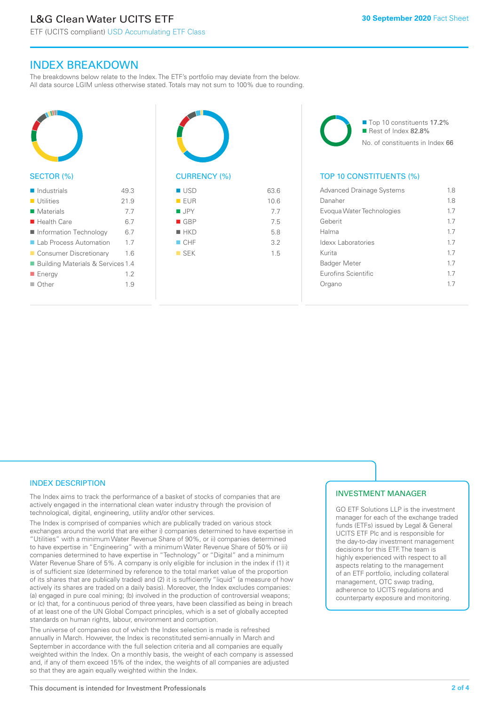ETF (UCITS compliant) USD Accumulating ETF Class

# INDEX BREAKDOWN

The breakdowns below relate to the Index. The ETF's portfolio may deviate from the below. All data source LGIM unless otherwise stated. Totals may not sum to 100% due to rounding.



#### SECTOR (%)

| $\blacksquare$ Industrials          | 49.3 |
|-------------------------------------|------|
| $\blacksquare$ Utilities            | 21.9 |
| $\blacksquare$ Materials            | 7.7  |
| $\blacksquare$ Health Care          | 6.7  |
| Information Technology              | 6.7  |
| ■ Lab Process Automation            | 1.7  |
| ■ Consumer Discretionary            | 1.6  |
| ■ Building Materials & Services 1.4 |      |
| ■ Energy                            | 12   |
| $\Box$ Other                        | 19   |
|                                     |      |



| <b>USD</b>         | 63.6 |
|--------------------|------|
| EUR                | 10.6 |
| $\blacksquare$ JPY | 7.7  |
| $\blacksquare$ GBP | 7.5  |
| $H$ HKD            | 5.8  |
| CHF                | 3.2  |
| $\square$ SEK      | 1.5  |
|                    |      |
|                    |      |

■ Top 10 constituents 17.2% Rest of Index 82.8% No. of constituents in Index 66

# TOP 10 CONSTITUENTS (%)

| <b>Advanced Drainage Systems</b> | 1.8 |
|----------------------------------|-----|
| Danaher                          | 18  |
| Evogua Water Technologies        | 17  |
| Geberit                          | 17  |
| Halma                            | 17  |
| Idexx Laboratories               | 17  |
| Kurita                           | 17  |
| <b>Badger Meter</b>              | 17  |
| <b>Eurofins Scientific</b>       | 17  |
| Organo                           | 17  |
|                                  |     |

# INDEX DESCRIPTION

The Index aims to track the performance of a basket of stocks of companies that are actively engaged in the international clean water industry through the provision of technological, digital, engineering, utility and/or other services.

The Index is comprised of companies which are publically traded on various stock exchanges around the world that are either i) companies determined to have expertise in "Utilities" with a minimum Water Revenue Share of 90%, or ii) companies determined to have expertise in "Engineering" with a minimum Water Revenue Share of 50% or iii) companies determined to have expertise in "Technology" or "Digital" and a minimum Water Revenue Share of 5%. A company is only eligible for inclusion in the index if (1) it is of sufficient size (determined by reference to the total market value of the proportion of its shares that are publically traded) and (2) it is sufficiently "liquid" (a measure of how actively its shares are traded on a daily basis). Moreover, the Index excludes companies: (a) engaged in pure coal mining; (b) involved in the production of controversial weapons; or (c) that, for a continuous period of three years, have been classified as being in breach of at least one of the UN Global Compact principles, which is a set of globally accepted standards on human rights, labour, environment and corruption.

The universe of companies out of which the Index selection is made is refreshed annually in March. However, the Index is reconstituted semi-annually in March and September in accordance with the full selection criteria and all companies are equally weighted within the Index. On a monthly basis, the weight of each company is assessed and, if any of them exceed 15% of the index, the weights of all companies are adjusted so that they are again equally weighted within the Index.

# INVESTMENT MANAGER

GO ETF Solutions LLP is the investment manager for each of the exchange traded funds (ETFs) issued by Legal & General UCITS ETF Plc and is responsible for the day-to-day investment management decisions for this ETF. The team is highly experienced with respect to all aspects relating to the management of an ETF portfolio, including collateral management, OTC swap trading, adherence to UCITS regulations and counterparty exposure and monitoring.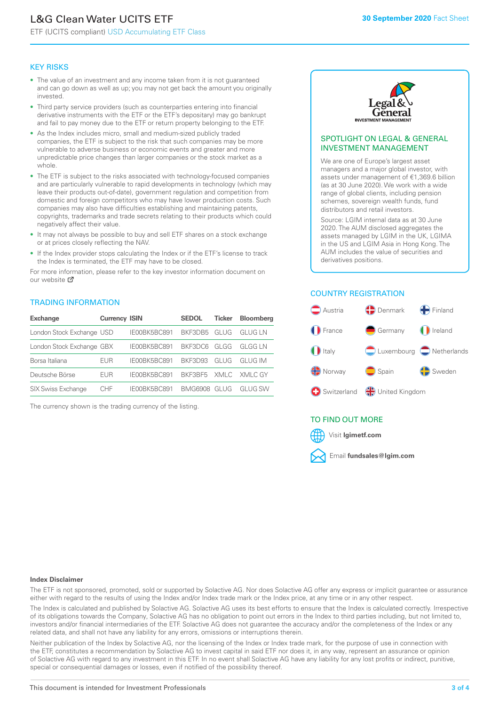# L&G Clean Water UCITS ETF

ETF (UCITS compliant) USD Accumulating ETF Class

#### KEY RISKS

- The value of an investment and any income taken from it is not guaranteed and can go down as well as up; you may not get back the amount you originally invested.
- Third party service providers (such as counterparties entering into financial derivative instruments with the ETF or the ETF's depositary) may go bankrupt and fail to pay money due to the ETF or return property belonging to the ETF.
- As the Index includes micro, small and medium-sized publicly traded companies, the ETF is subject to the risk that such companies may be more vulnerable to adverse business or economic events and greater and more unpredictable price changes than larger companies or the stock market as a whole.
- The ETF is subject to the risks associated with technology-focused companies and are particularly vulnerable to rapid developments in technology (which may leave their products out-of-date), government regulation and competition from domestic and foreign competitors who may have lower production costs. Such companies may also have difficulties establishing and maintaining patents, copyrights, trademarks and trade secrets relating to their products which could negatively affect their value.
- It may not always be possible to buy and sell ETF shares on a stock exchange or at prices closely reflecting the NAV.
- If the Index provider stops calculating the Index or if the ETF's license to track the Index is terminated, the ETF may have to be closed.

For more information, please refer to the key investor information document on our website Ø

#### TRADING INFORMATION

| <b>Exchange</b>           | <b>Currency ISIN</b> |              | <b>SEDOL</b>   | Ticker | <b>Bloomberg</b> |
|---------------------------|----------------------|--------------|----------------|--------|------------------|
| London Stock Exchange USD |                      | IE00BK5BC891 | BKF3DB5        | GLUG   | GI UG I N        |
| London Stock Exchange GBX |                      | IE00BK5BC891 | BKF3DC6        | GLGG   | GI GG I N        |
| Borsa Italiana            | EUR                  | IE00BK5BC891 | <b>BKE3D93</b> | GLUG   | GI UG IM         |
| Deutsche Börse            | EUR                  | IE00BK5BC891 | BKF3BF5        |        | XMLC XMLC GY     |
| <b>SIX Swiss Exchange</b> | CHE                  | IF00BK5BC891 | BMG6908        | GI UG  | GI UG SW         |

The currency shown is the trading currency of the listing.



#### SPOTLIGHT ON LEGAL & GENERAL INVESTMENT MANAGEMENT

We are one of Europe's largest asset managers and a major global investor, with assets under management of €1,369.6 billion (as at 30 June 2020). We work with a wide range of global clients, including pension schemes, sovereign wealth funds, fund distributors and retail investors.

Source: LGIM internal data as at 30 June 2020. The AUM disclosed aggregates the assets managed by LGIM in the UK, LGIMA in the US and LGIM Asia in Hong Kong. The AUM includes the value of securities and derivatives positions.

# COUNTRY REGISTRATION



# TO FIND OUT MORE



#### **Index Disclaimer**

The ETF is not sponsored, promoted, sold or supported by Solactive AG. Nor does Solactive AG offer any express or implicit guarantee or assurance either with regard to the results of using the Index and/or Index trade mark or the Index price, at any time or in any other respect.

The Index is calculated and published by Solactive AG. Solactive AG uses its best efforts to ensure that the Index is calculated correctly. Irrespective of its obligations towards the Company, Solactive AG has no obligation to point out errors in the Index to third parties including, but not limited to, investors and/or financial intermediaries of the ETF. Solactive AG does not guarantee the accuracy and/or the completeness of the Index or any related data, and shall not have any liability for any errors, omissions or interruptions therein.

Neither publication of the Index by Solactive AG, nor the licensing of the Index or Index trade mark, for the purpose of use in connection with the ETF, constitutes a recommendation by Solactive AG to invest capital in said ETF nor does it, in any way, represent an assurance or opinion of Solactive AG with regard to any investment in this ETF. In no event shall Solactive AG have any liability for any lost profits or indirect, punitive, special or consequential damages or losses, even if notified of the possibility thereof.